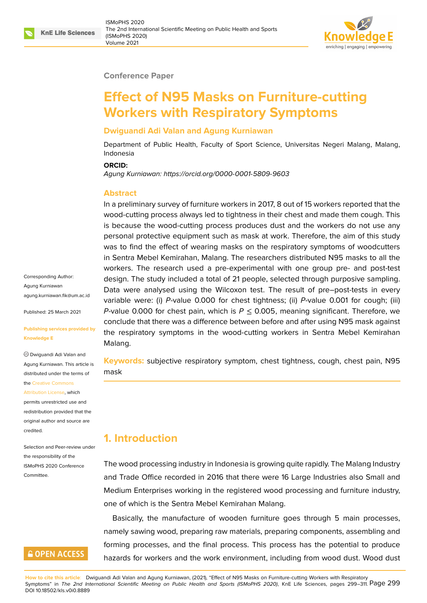#### **Conference Paper**

# **Effect of N95 Masks on Furniture-cutting Workers with Respiratory Symptoms**

#### **Dwiguandi Adi Valan and Agung Kurniawan**

Department of Public Health, Faculty of Sport Science, Universitas Negeri Malang, Malang, Indonesia

#### **ORCID:**

*Agung Kurniawan: https://orcid.org/0000-0001-5809-9603*

#### **Abstract**

In a preliminary survey of furniture workers in 2017, 8 out of 15 workers reported that the wood-cutting pro[cess always led to tightness in their ch](https://orcid.org/0000-0001-5809-9603)est and made them cough. This is because the wood-cutting process produces dust and the workers do not use any personal protective equipment such as mask at work. Therefore, the aim of this study was to find the effect of wearing masks on the respiratory symptoms of woodcutters in Sentra Mebel Kemirahan, Malang. The researchers distributed N95 masks to all the workers. The research used a pre-experimental with one group pre- and post-test design. The study included a total of 21 people, selected through purposive sampling. Data were analysed using the Wilcoxon test. The result of pre–post-tests in every variable were: (i) *P*-value 0.000 for chest tightness; (ii) *P*-value 0.001 for cough; (iii) *P*-value 0.000 for chest pain, which is  $P \le 0.005$ , meaning significant. Therefore, we conclude that there was a difference between before and after using N95 mask against the respiratory symptoms in the wood-cutting workers in Sentra Mebel Kemirahan Malang.

**Keywords:** subjective respiratory symptom, chest tightness, cough, chest pain, N95 mask

## **1. Introduction**

The wood processing industry in Indonesia is growing quite rapidly. The Malang Industry and Trade Office recorded in 2016 that there were 16 Large Industries also Small and Medium Enterprises working in the registered wood processing and furniture industry, one of which is the Sentra Mebel Kemirahan Malang.

Basically, the manufacture of wooden furniture goes through 5 main processes, namely sawing wood, preparing raw materials, preparing components, assembling and forming processes, and the final process. This process has the potential to produce hazards for workers and the work environment, including from wood dust. Wood dust

**How to cite this article**: Dwiguandi Adi Valan and Agung Kurniawan, (2021), "Effect of N95 Masks on Furniture-cutting Workers with Respiratory Symptoms" in The 2nd International Scientific Meeting on Public Health and Sports (ISMoPHS 2020), KnE Life Sciences, pages 299-311. Page 299 DOI 10.18502/kls.v0i0.8889

Corresponding Author: Agung Kurniawan agung.kurniawan.fik@um.ac.id

Published: 25 March 2021

#### **[Publishing services provided](mailto:agung.kurniawan.fik@um.ac.id) by Knowledge E**

Dwiguandi Adi Valan and Agung Kurniawan. This article is distributed under the terms of the Creative Commons

Attribution License, which permits unrestricted use and redistribution provided that the orig[inal author and sou](https://creativecommons.org/licenses/by/4.0/)rce are [credited.](https://creativecommons.org/licenses/by/4.0/)

Selection and Peer-review under the responsibility of the ISMoPHS 2020 Conference Committee.

## **GOPEN ACCESS**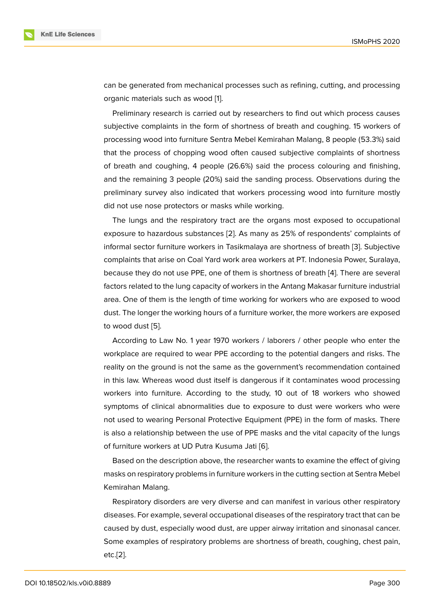can be generated from mechanical processes such as refining, cutting, and processing organic materials such as wood [1].

Preliminary research is carried out by researchers to find out which process causes subjective complaints in the form of shortness of breath and coughing. 15 workers of processing wood into furniture S[en](#page-10-0)tra Mebel Kemirahan Malang, 8 people (53.3%) said that the process of chopping wood often caused subjective complaints of shortness of breath and coughing, 4 people (26.6%) said the process colouring and finishing, and the remaining 3 people (20%) said the sanding process. Observations during the preliminary survey also indicated that workers processing wood into furniture mostly did not use nose protectors or masks while working.

The lungs and the respiratory tract are the organs most exposed to occupational exposure to hazardous substances [2]. As many as 25% of respondents' complaints of informal sector furniture workers in Tasikmalaya are shortness of breath [3]. Subjective complaints that arise on Coal Yard work area workers at PT. Indonesia Power, Suralaya, because they do not use PPE, one [of t](#page-10-1)hem is shortness of breath [4]. There are several factors related to the lung capacity of workers in the Antang Makasar furni[tu](#page-10-2)re industrial area. One of them is the length of time working for workers who are exposed to wood dust. The longer the working hours of a furniture worker, the more [wo](#page-11-0)rkers are exposed to wood dust [5].

According to Law No. 1 year 1970 workers / laborers / other people who enter the workplace are required to wear PPE according to the potential dangers and risks. The reality on the [gr](#page-11-1)ound is not the same as the government's recommendation contained in this law. Whereas wood dust itself is dangerous if it contaminates wood processing workers into furniture. According to the study, 10 out of 18 workers who showed symptoms of clinical abnormalities due to exposure to dust were workers who were not used to wearing Personal Protective Equipment (PPE) in the form of masks. There is also a relationship between the use of PPE masks and the vital capacity of the lungs of furniture workers at UD Putra Kusuma Jati [6].

Based on the description above, the researcher wants to examine the effect of giving masks on respiratory problems in furniture wor[ke](#page-11-2)rs in the cutting section at Sentra Mebel Kemirahan Malang.

Respiratory disorders are very diverse and can manifest in various other respiratory diseases. For example, several occupational diseases of the respiratory tract that can be caused by dust, especially wood dust, are upper airway irritation and sinonasal cancer. Some examples of respiratory problems are shortness of breath, coughing, chest pain, etc.[2].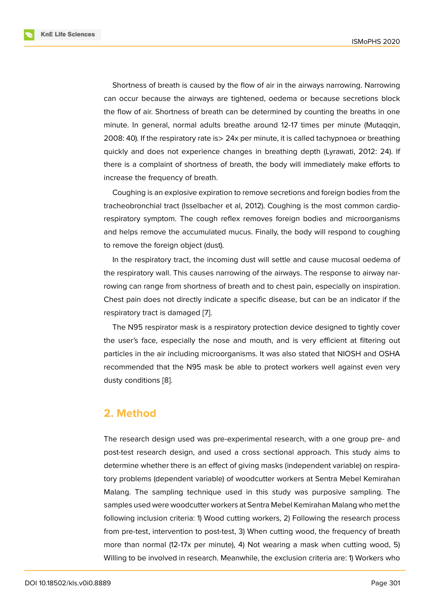Shortness of breath is caused by the flow of air in the airways narrowing. Narrowing can occur because the airways are tightened, oedema or because secretions block the flow of air. Shortness of breath can be determined by counting the breaths in one minute. In general, normal adults breathe around 12-17 times per minute (Mutaqqin, 2008: 40). If the respiratory rate is> 24x per minute, it is called tachypnoea or breathing quickly and does not experience changes in breathing depth (Lyrawati, 2012: 24). If there is a complaint of shortness of breath, the body will immediately make efforts to increase the frequency of breath.

Coughing is an explosive expiration to remove secretions and foreign bodies from the tracheobronchial tract (Isselbacher et al, 2012). Coughing is the most common cardiorespiratory symptom. The cough reflex removes foreign bodies and microorganisms and helps remove the accumulated mucus. Finally, the body will respond to coughing to remove the foreign object (dust).

In the respiratory tract, the incoming dust will settle and cause mucosal oedema of the respiratory wall. This causes narrowing of the airways. The response to airway narrowing can range from shortness of breath and to chest pain, especially on inspiration. Chest pain does not directly indicate a specific disease, but can be an indicator if the respiratory tract is damaged [7].

The N95 respirator mask is a respiratory protection device designed to tightly cover the user's face, especially the nose and mouth, and is very efficient at filtering out particles in the air including [mi](#page-11-3)croorganisms. It was also stated that NIOSH and OSHA recommended that the N95 mask be able to protect workers well against even very dusty conditions [8].

### **2. Method**

The research design used was pre-experimental research, with a one group pre- and post-test research design, and used a cross sectional approach. This study aims to determine whether there is an effect of giving masks (independent variable) on respiratory problems (dependent variable) of woodcutter workers at Sentra Mebel Kemirahan Malang. The sampling technique used in this study was purposive sampling. The samples used were woodcutter workers at Sentra Mebel Kemirahan Malang who met the following inclusion criteria: 1) Wood cutting workers, 2) Following the research process from pre-test, intervention to post-test, 3) When cutting wood, the frequency of breath more than normal (12-17x per minute), 4) Not wearing a mask when cutting wood, 5) Willing to be involved in research. Meanwhile, the exclusion criteria are: 1) Workers who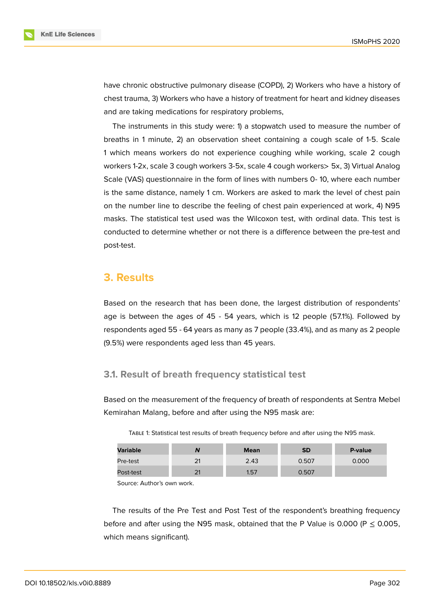

have chronic obstructive pulmonary disease (COPD), 2) Workers who have a history of chest trauma, 3) Workers who have a history of treatment for heart and kidney diseases and are taking medications for respiratory problems,

The instruments in this study were: 1) a stopwatch used to measure the number of breaths in 1 minute, 2) an observation sheet containing a cough scale of 1-5. Scale 1 which means workers do not experience coughing while working, scale 2 cough workers 1-2x, scale 3 cough workers 3-5x, scale 4 cough workers> 5x, 3) Virtual Analog Scale (VAS) questionnaire in the form of lines with numbers 0- 10, where each number is the same distance, namely 1 cm. Workers are asked to mark the level of chest pain on the number line to describe the feeling of chest pain experienced at work, 4) N95 masks. The statistical test used was the Wilcoxon test, with ordinal data. This test is conducted to determine whether or not there is a difference between the pre-test and post-test.

### **3. Results**

Based on the research that has been done, the largest distribution of respondents' age is between the ages of 45 - 54 years, which is 12 people (57.1%). Followed by respondents aged 55 - 64 years as many as 7 people (33.4%), and as many as 2 people (9.5%) were respondents aged less than 45 years.

### **3.1. Result of breath frequency statistical test**

Based on the measurement of the frequency of breath of respondents at Sentra Mebel Kemirahan Malang, before and after using the N95 mask are:

|  | TABLE 1: Statistical test results of breath frequency before and after using the N95 mask. |  |  |  |
|--|--------------------------------------------------------------------------------------------|--|--|--|
|  |                                                                                            |  |  |  |

| <b>Variable</b> | N  | <b>Mean</b> | SD    | P-value |
|-----------------|----|-------------|-------|---------|
| Pre-test        | 21 | 2.43        | 0.507 | 0.000   |
| Post-test       | 21 | 1.57        | 0.507 |         |

Source: Author's own work.

The results of the Pre Test and Post Test of the respondent's breathing frequency before and after using the N95 mask, obtained that the P Value is 0.000 (P  $\leq$  0.005, which means significant).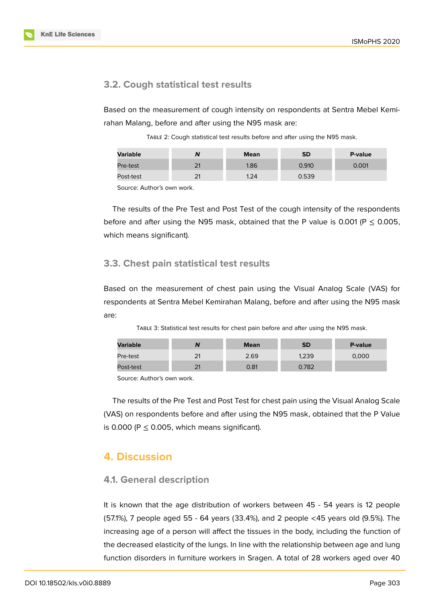## **3.2. Cough statistical test results**

Based on the measurement of cough intensity on respondents at Sentra Mebel Kemirahan Malang, before and after using the N95 mask are:

TABLE 2: Cough statistical test results before and after using the N95 mask.

| Variable  | N        | <b>Mean</b> | <b>SD</b> | P-value |
|-----------|----------|-------------|-----------|---------|
| Pre-test  | 21       | 1.86        | 0.910     | 0.001   |
| Post-test | 21<br>∠∣ | 1.24        | 0.539     |         |

Source: Author's own work.

The results of the Pre Test and Post Test of the cough intensity of the respondents before and after using the N95 mask, obtained that the P value is 0.001 ( $P \le 0.005$ , which means significant).

### **3.3. Chest pain statistical test results**

Based on the measurement of chest pain using the Visual Analog Scale (VAS) for respondents at Sentra Mebel Kemirahan Malang, before and after using the N95 mask are:

TABLE 3: Statistical test results for chest pain before and after using the N95 mask.

| <b>Variable</b> | N  | <b>Mean</b> | <b>SD</b> | P-value |
|-----------------|----|-------------|-----------|---------|
| Pre-test        | 21 | 2.69        | 1,239     | 0,000   |
| Post-test       | 21 | 0.81        | ).782     |         |

Source: Author's own work.

The results of the Pre Test and Post Test for chest pain using the Visual Analog Scale (VAS) on respondents before and after using the N95 mask, obtained that the P Value is 0.000 ( $P \le 0.005$ , which means significant).

## **4. Discussion**

### **4.1. General description**

It is known that the age distribution of workers between 45 - 54 years is 12 people (57.1%), 7 people aged 55 - 64 years (33.4%), and 2 people <45 years old (9.5%). The increasing age of a person will affect the tissues in the body, including the function of the decreased elasticity of the lungs. In line with the relationship between age and lung function disorders in furniture workers in Sragen. A total of 28 workers aged over 40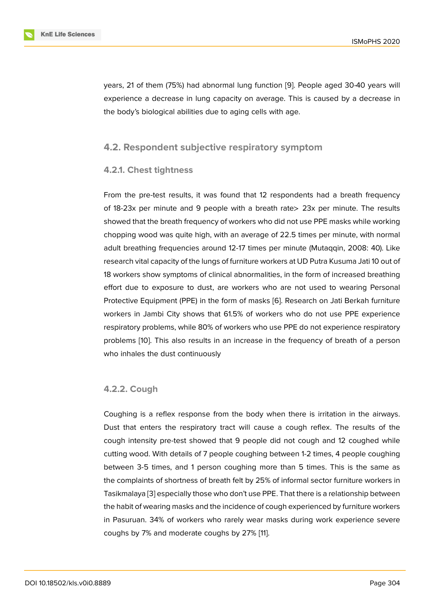years, 21 of them (75%) had abnormal lung function [9]. People aged 30-40 years will experience a decrease in lung capacity on average. This is caused by a decrease in the body's biological abilities due to aging cells with age.

### **4.2. Respondent subjective respiratory symptom**

### **4.2.1. Chest tightness**

From the pre-test results, it was found that 12 respondents had a breath frequency of 18-23x per minute and 9 people with a breath rate> 23x per minute. The results showed that the breath frequency of workers who did not use PPE masks while working chopping wood was quite high, with an average of 22.5 times per minute, with normal adult breathing frequencies around 12-17 times per minute (Mutaqqin, 2008: 40). Like research vital capacity of the lungs of furniture workers at UD Putra Kusuma Jati 10 out of 18 workers show symptoms of clinical abnormalities, in the form of increased breathing effort due to exposure to dust, are workers who are not used to wearing Personal Protective Equipment (PPE) in the form of masks [6]. Research on Jati Berkah furniture workers in Jambi City shows that 61.5% of workers who do not use PPE experience respiratory problems, while 80% of workers who use PPE do not experience respiratory problems [10]. This also results in an increase in [th](#page-11-2)e frequency of breath of a person who inhales the dust continuously

### **4.2.2. Cough**

Coughing is a reflex response from the body when there is irritation in the airways. Dust that enters the respiratory tract will cause a cough reflex. The results of the cough intensity pre-test showed that 9 people did not cough and 12 coughed while cutting wood. With details of 7 people coughing between 1-2 times, 4 people coughing between 3-5 times, and 1 person coughing more than 5 times. This is the same as the complaints of shortness of breath felt by 25% of informal sector furniture workers in Tasikmalaya [3] especially those who don't use PPE. That there is a relationship between the habit of wearing masks and the incidence of cough experienced by furniture workers in Pasuruan. 34% of workers who rarely wear masks during work experience severe coughs by 7[%](#page-10-2) and moderate coughs by 27% [11].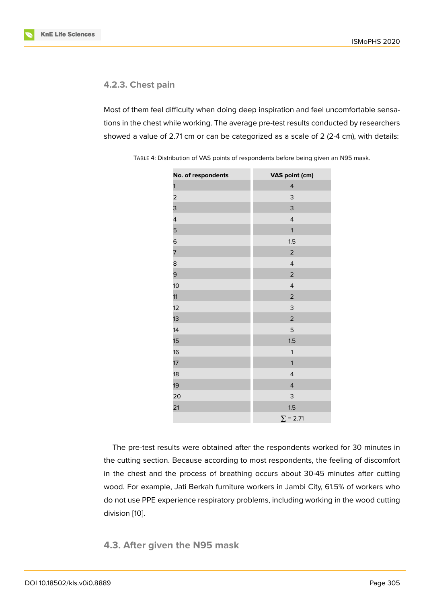### **4.2.3. Chest pain**

Most of them feel difficulty when doing deep inspiration and feel uncomfortable sensations in the chest while working. The average pre-test results conducted by researchers showed a value of 2.71 cm or can be categorized as a scale of 2 (2-4 cm), with details:

| No. of respondents      | VAS point (cm)          |
|-------------------------|-------------------------|
| 1                       | 4                       |
| $\overline{\mathbf{c}}$ | 3                       |
| 3                       | 3                       |
| 4                       | $\overline{4}$          |
| 5                       | $\mathbf{1}$            |
| 6                       | 1.5                     |
| 7                       | $\overline{2}$          |
| 8                       | $\overline{4}$          |
| 9                       | $\mathbf 2$             |
| 10 <sup>1</sup>         | $\overline{4}$          |
| 11                      | $\overline{2}$          |
| 12                      | 3                       |
| 13                      | $\overline{2}$          |
| 14                      | 5                       |
| 15                      | 1.5                     |
| 16                      | $\mathbf{1}$            |
| 17                      | $\mathbf{1}$            |
| 18                      | $\overline{4}$          |
| 19                      | $\overline{\mathbf{r}}$ |
| 20                      | 3                       |
| 21                      | 1.5                     |
|                         | $\Sigma = 2.71$         |

TABLE 4: Distribution of VAS points of respondents before being given an N95 mask.

The pre-test results were obtained after the respondents worked for 30 minutes in the cutting section. Because according to most respondents, the feeling of discomfort in the chest and the process of breathing occurs about 30-45 minutes after cutting wood. For example, Jati Berkah furniture workers in Jambi City, 61.5% of workers who do not use PPE experience respiratory problems, including working in the wood cutting division [10].

**4.3. Af[te](#page-11-4)r given the N95 mask**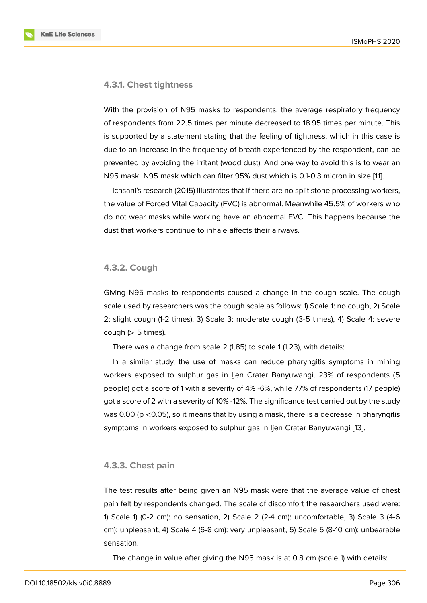#### **4.3.1. Chest tightness**

With the provision of N95 masks to respondents, the average respiratory frequency of respondents from 22.5 times per minute decreased to 18.95 times per minute. This is supported by a statement stating that the feeling of tightness, which in this case is due to an increase in the frequency of breath experienced by the respondent, can be prevented by avoiding the irritant (wood dust). And one way to avoid this is to wear an N95 mask. N95 mask which can filter 95% dust which is 0.1-0.3 micron in size [11].

Ichsani's research (2015) illustrates that if there are no split stone processing workers, the value of Forced Vital Capacity (FVC) is abnormal. Meanwhile 45.5% of workers who do not wear masks while working have an abnormal FVC. This happens beca[us](#page-11-5)e the dust that workers continue to inhale affects their airways.

#### **4.3.2. Cough**

Giving N95 masks to respondents caused a change in the cough scale. The cough scale used by researchers was the cough scale as follows: 1) Scale 1: no cough, 2) Scale 2: slight cough (1-2 times), 3) Scale 3: moderate cough (3-5 times), 4) Scale 4: severe cough  $(> 5$  times).

There was a change from scale 2 (1.85) to scale 1 (1.23), with details:

In a similar study, the use of masks can reduce pharyngitis symptoms in mining workers exposed to sulphur gas in Ijen Crater Banyuwangi. 23% of respondents (5 people) got a score of 1 with a severity of 4% -6%, while 77% of respondents (17 people) got a score of 2 with a severity of 10% -12%. The significance test carried out by the study was 0.00 ( $p < 0.05$ ), so it means that by using a mask, there is a decrease in pharyngitis symptoms in workers exposed to sulphur gas in Ijen Crater Banyuwangi [13].

#### **4.3.3. Chest pain**

The test results after being given an N95 mask were that the average value of chest pain felt by respondents changed. The scale of discomfort the researchers used were: 1) Scale 1) (0-2 cm): no sensation, 2) Scale 2 (2-4 cm): uncomfortable, 3) Scale 3 (4-6 cm): unpleasant, 4) Scale 4 (6-8 cm): very unpleasant, 5) Scale 5 (8-10 cm): unbearable sensation.

The change in value after giving the N95 mask is at 0.8 cm (scale 1) with details: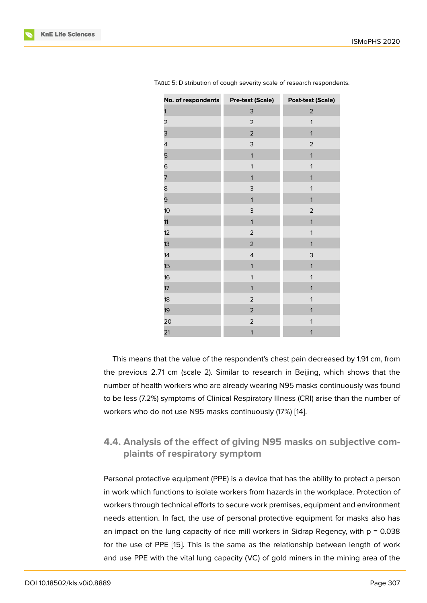| No. of respondents | <b>Pre-test (Scale)</b> | <b>Post-test (Scale)</b> |
|--------------------|-------------------------|--------------------------|
| 1                  | 3                       | $\mathbf 2$              |
| 2                  | $\mathbf 2$             | $\mathbf{1}$             |
| 3                  | $\mathbf{2}$            | $\mathbf{1}$             |
| 4                  | 3                       | $\mathbf 2$              |
| 5                  | $\mathbf{1}$            | $\mathbf{1}$             |
| 6                  | $\mathbf{1}$            | $\mathbf{1}$             |
| 7                  | $\mathbf{1}$            | $\mathbf{1}$             |
| 8                  | 3                       | $\mathbf{1}$             |
| 9                  | $\mathbf{1}$            | $\mathbf{1}$             |
| 10                 | 3                       | $\mathbf 2$              |
| 11                 | $\mathbf{1}$            | $\mathbf{1}$             |
| 12                 | $\mathbf{2}$            | $\mathbf{1}$             |
| 13                 | $\mathbf 2$             | $\mathbf{1}$             |
| 14                 | $\overline{4}$          | 3                        |
| 15                 | $\mathbf{1}$            | $\mathbf{1}$             |
| 16                 | $\mathbf{1}$            | $\mathbf{1}$             |
| 17                 | $\mathbf{1}$            | $\mathbf{1}$             |
| 18                 | $\mathbf 2$             | $\mathbf{1}$             |
| 19                 | $\mathbf{2}$            | $\mathbf{1}$             |
| 20                 | $\overline{\mathbf{c}}$ | $\mathbf{1}$             |
| 21                 | $\mathbf{1}$            | $\mathbf{1}$             |
|                    |                         |                          |

TABLE 5: Distribution of cough severity scale of research respondents.

the control of the control of the con-

This means that the value of the respondent's chest pain decreased by 1.91 cm, from the previous 2.71 cm (scale 2). Similar to research in Beijing, which shows that the number of health workers who are already wearing N95 masks continuously was found to be less (7.2%) symptoms of Clinical Respiratory Illness (CRI) arise than the number of workers who do not use N95 masks continuously (17%) [14].

## **4.4. Analysis of the effect of giving N95 m[ask](#page-12-0)s on subjective complaints of respiratory symptom**

Personal protective equipment (PPE) is a device that has the ability to protect a person in work which functions to isolate workers from hazards in the workplace. Protection of workers through technical efforts to secure work premises, equipment and environment needs attention. In fact, the use of personal protective equipment for masks also has an impact on the lung capacity of rice mill workers in Sidrap Regency, with  $p = 0.038$ for the use of PPE [15]. This is the same as the relationship between length of work and use PPE with the vital lung capacity (VC) of gold miners in the mining area of the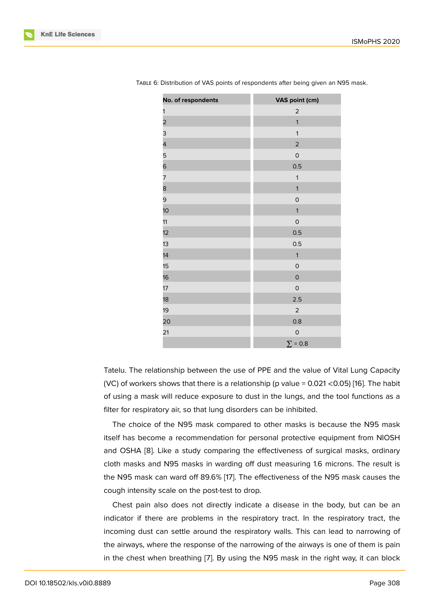| No. of respondents | VAS point (cm) |
|--------------------|----------------|
| 1                  | $\overline{a}$ |
| 2                  | $\mathbf{1}$   |
| 3                  | $\mathbf{1}$   |
| 4                  | $\mathbf 2$    |
| 5                  | $\mathsf O$    |
| 6                  | 0.5            |
| 7                  | $\mathbf{1}$   |
| 8                  | $\mathbf{1}$   |
| 9                  | $\circ$        |
| 10 <sup>1</sup>    | $\mathbf{1}$   |
| 11                 | $\mathsf O$    |
| 12                 | 0.5            |
| 13                 | 0.5            |
| 14                 | $\mathbf{1}$   |
| 15                 | $\mathsf O$    |
| 16                 | $\mathsf O$    |
| 17                 | $\mathsf O$    |
| 18                 | 2.5            |
| 19                 | $\overline{2}$ |
| 20                 | 0.8            |
| 21                 | $\mathsf O$    |
|                    | $\Sigma = 0.8$ |

TABLE 6: Distribution of VAS points of respondents after being given an N95 mask.

Tatelu. The relationship between the use of PPE and the value of Vital Lung Capacity (VC) of workers shows that there is a relationship (p value = 0.021 <0.05) [16]. The habit of using a mask will reduce exposure to dust in the lungs, and the tool functions as a filter for respiratory air, so that lung disorders can be inhibited.

The choice of the N95 mask compared to other masks is because t[he](#page-12-1) N95 mask itself has become a recommendation for personal protective equipment from NIOSH and OSHA [8]. Like a study comparing the effectiveness of surgical masks, ordinary cloth masks and N95 masks in warding off dust measuring 1.6 microns. The result is the N95 mask can ward off 89.6% [17]. The effectiveness of the N95 mask causes the cough inten[sit](#page-11-6)y scale on the post-test to drop.

Chest pain also does not directly indicate a disease in the body, but can be an indicator if there are problems in [th](#page-12-2)e respiratory tract. In the respiratory tract, the incoming dust can settle around the respiratory walls. This can lead to narrowing of the airways, where the response of the narrowing of the airways is one of them is pain in the chest when breathing [7]. By using the N95 mask in the right way, it can block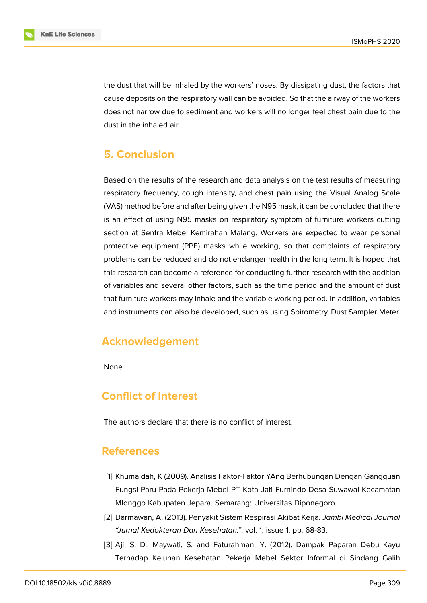the dust that will be inhaled by the workers' noses. By dissipating dust, the factors that cause deposits on the respiratory wall can be avoided. So that the airway of the workers does not narrow due to sediment and workers will no longer feel chest pain due to the dust in the inhaled air.

## **5. Conclusion**

Based on the results of the research and data analysis on the test results of measuring respiratory frequency, cough intensity, and chest pain using the Visual Analog Scale (VAS) method before and after being given the N95 mask, it can be concluded that there is an effect of using N95 masks on respiratory symptom of furniture workers cutting section at Sentra Mebel Kemirahan Malang. Workers are expected to wear personal protective equipment (PPE) masks while working, so that complaints of respiratory problems can be reduced and do not endanger health in the long term. It is hoped that this research can become a reference for conducting further research with the addition of variables and several other factors, such as the time period and the amount of dust that furniture workers may inhale and the variable working period. In addition, variables and instruments can also be developed, such as using Spirometry, Dust Sampler Meter.

## **Acknowledgement**

None

## **Conflict of Interest**

The authors declare that there is no conflict of interest.

## **References**

- <span id="page-10-0"></span>[1] Khumaidah, K (2009). Analisis Faktor-Faktor YAng Berhubungan Dengan Gangguan Fungsi Paru Pada Pekerja Mebel PT Kota Jati Furnindo Desa Suwawal Kecamatan Mlonggo Kabupaten Jepara. Semarang: Universitas Diponegoro.
- <span id="page-10-1"></span>[2] Darmawan, A. (2013). Penyakit Sistem Respirasi Akibat Kerja. *Jambi Medical Journal "Jurnal Kedokteran Dan Kesehatan."*, vol. 1, issue 1, pp. 68-83.
- <span id="page-10-2"></span>[3] Aji, S. D., Maywati, S. and Faturahman, Y. (2012). Dampak Paparan Debu Kayu Terhadap Keluhan Kesehatan Pekerja Mebel Sektor Informal di Sindang Galih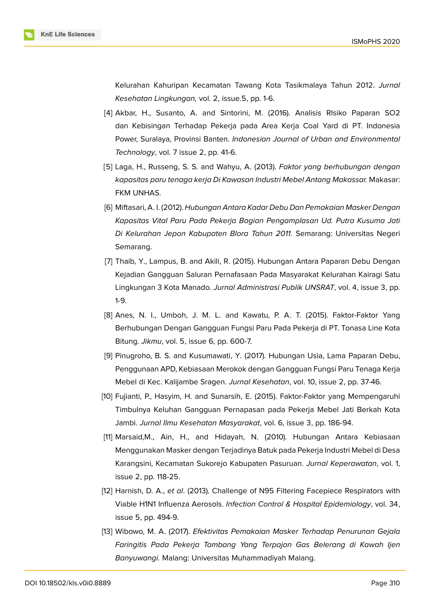

Kelurahan Kahuripan Kecamatan Tawang Kota Tasikmalaya Tahun 2012. *Jurnal Kesehatan Lingkungan,* vol. 2, issue.5, pp. 1-6.

- <span id="page-11-0"></span>[4] Akbar, H., Susanto, A. and Sintorini, M. (2016). Analisis RIsiko Paparan SO2 dan Kebisingan Terhadap Pekerja pada Area Kerja Coal Yard di PT. Indonesia Power, Suralaya, Provinsi Banten. *Indonesian Journal of Urban and Environmental Technology*, vol. 7 issue 2, pp. 41-6.
- <span id="page-11-1"></span>[5] Laga, H., Russeng, S. S. and Wahyu, A. (2013). *Faktor yang berhubungan dengan kapasitas paru tenaga kerja Di Kawasan Industri Mebel Antang Makassar.* Makasar: FKM UNHAS.
- <span id="page-11-2"></span>[6] Miftasari, A. I. (2012). *Hubungan Antara Kadar Debu Dan Pemakaian Masker Dengan Kapasitas Vital Paru Pada Pekerja Bagian Pengamplasan Ud. Putra Kusuma Jati Di Kelurahan Jepon Kabupaten Blora Tahun 2011.* Semarang: Universitas Negeri Semarang.
- <span id="page-11-3"></span>[7] Thaib, Y., Lampus, B. and Akili, R. (2015). Hubungan Antara Paparan Debu Dengan Kejadian Gangguan Saluran Pernafasaan Pada Masyarakat Kelurahan Kairagi Satu Lingkungan 3 Kota Manado. *Jurnal Administrasi Publik UNSRAT*, vol. 4, issue 3, pp. 1-9.
- <span id="page-11-6"></span>[8] Anes, N. I., Umboh, J. M. L. and Kawatu, P. A. T. (2015). Faktor-Faktor Yang Berhubungan Dengan Gangguan Fungsi Paru Pada Pekerja di PT. Tonasa Line Kota Bitung. *Jikmu*, vol. 5, issue 6, pp. 600-7.
- [9] Pinugroho, B. S. and Kusumawati, Y. (2017). Hubungan Usia, Lama Paparan Debu, Penggunaan APD, Kebiasaan Merokok dengan Gangguan Fungsi Paru Tenaga Kerja Mebel di Kec. Kalijambe Sragen. *Jurnal Kesehatan*, vol. 10, issue 2, pp. 37-46.
- <span id="page-11-4"></span>[10] Fujianti, P., Hasyim, H. and Sunarsih, E. (2015). Faktor-Faktor yang Mempengaruhi Timbulnya Keluhan Gangguan Pernapasan pada Pekerja Mebel Jati Berkah Kota Jambi. *Jurnal Ilmu Kesehatan Masyarakat*, vol. 6, issue 3, pp. 186-94.
- <span id="page-11-5"></span>[11] Marsaid,M., Ain, H., and Hidayah, N. (2010). Hubungan Antara Kebiasaan Menggunakan Masker dengan Terjadinya Batuk pada Pekerja Industri Mebel di Desa Karangsini, Kecamatan Sukorejo Kabupaten Pasuruan. *Jurnal Keperawatan*, vol. 1, issue 2, pp. 118-25.
- [12] Harnish, D. A., *et al*. (2013). Challenge of N95 Filtering Facepiece Respirators with Viable H1N1 Influenza Aerosols. *Infection Control & Hospital Epidemiology*, vol. 34, issue 5, pp. 494-9.
- [13] Wibowo, M. A. (2017). *Efektivitas Pemakaian Masker Terhadap Penurunan Gejala Faringitis Pada Pekerja Tambang Yang Terpajan Gas Belerang di Kawah Ijen Banyuwangi.* Malang: Universitas Muhammadiyah Malang.